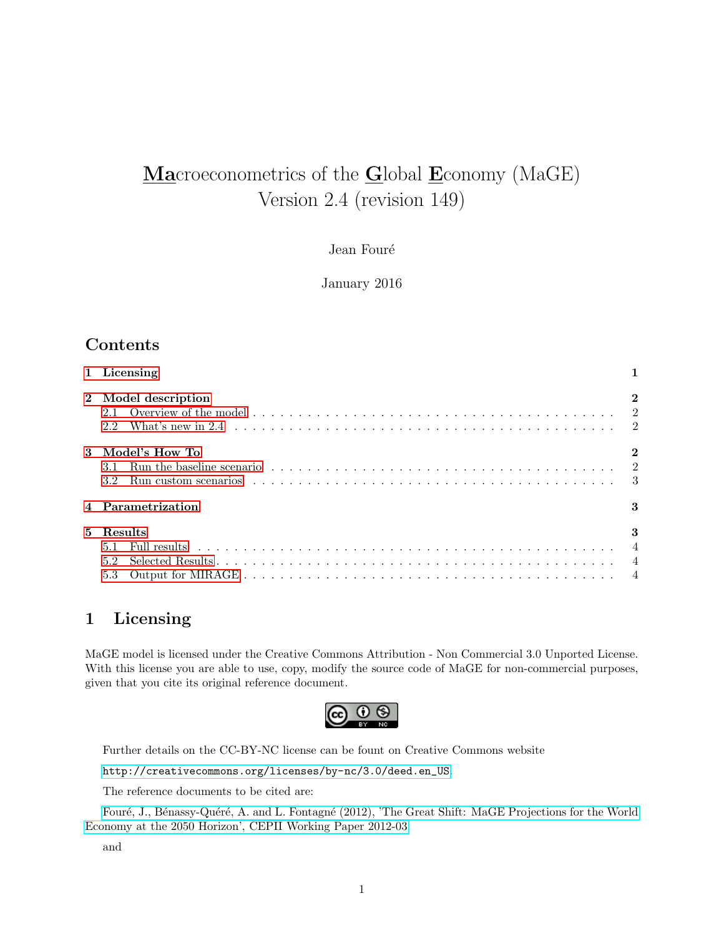# Macroeconometrics of the Global Economy (MaGE) Version 2.4 (revision 149)

Jean Fouré

January 2016

### Contents

| 1 Licensing                                                                                                                                      |    |
|--------------------------------------------------------------------------------------------------------------------------------------------------|----|
| 2 Model description                                                                                                                              |    |
| 3 Model's How To<br>3.1<br>Run custom scenarios $\ldots \ldots \ldots \ldots \ldots \ldots \ldots \ldots \ldots \ldots \ldots \ldots$<br>$3.2\,$ |    |
| 4 Parametrization                                                                                                                                | 3  |
| 5 Results<br>5.1<br>5.2<br>5.3                                                                                                                   | -3 |

### <span id="page-0-0"></span>1 Licensing

MaGE model is licensed under the Creative Commons Attribution - Non Commercial 3.0 Unported License. With this license you are able to use, copy, modify the source code of MaGE for non-commercial purposes, given that you cite its original reference document.



Further details on the CC-BY-NC license can be fount on Creative Commons website

[http://creativecommons.org/licenses/by-nc/3.0/deed.en\\_US](http://creativecommons.org/licenses/by-nc/3.0/deed.en_US).

The reference documents to be cited are:

Fouré, J., Bénassy-Quéré, A. and L. Fontagné (2012), 'The Great Shift: MaGE Projections for the World [Economy at the 2050 Horizon', CEPII Working Paper 2012-03.](http://www.cepii.fr/francgraph/doctravail/resumes/wp_resume.asp?annee=2012&ref=3&NoDoc=4179)

and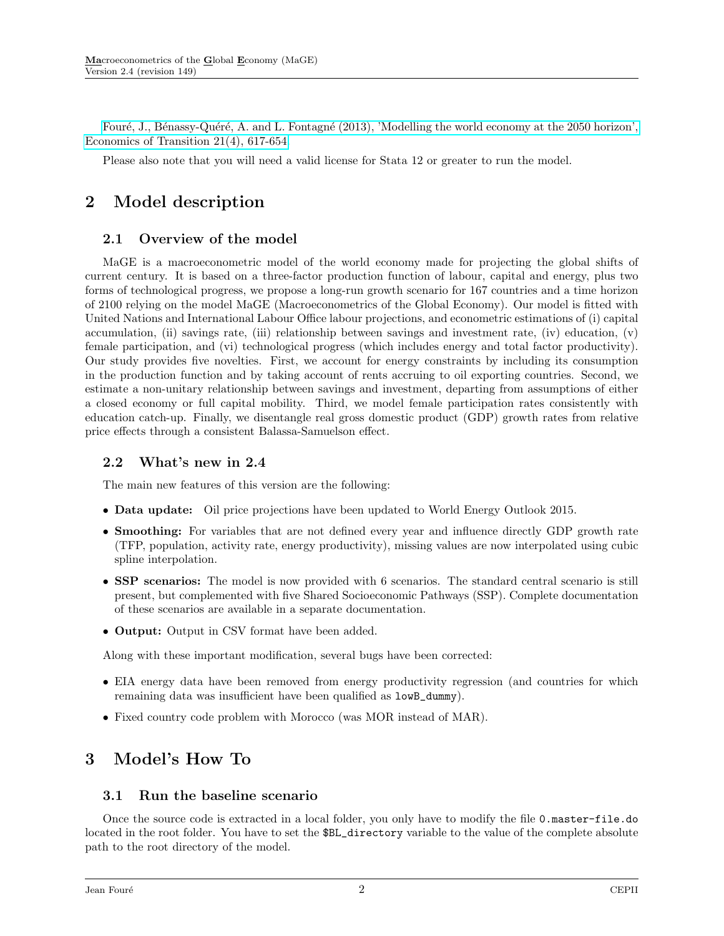Fouré, J., Bénassy-Quéré, A. and L. Fontagné (2013), 'Modelling the world economy at the 2050 horizon', Economics of Transition  $21(4)$ , 617-654.

Please also note that you will need a valid license for Stata 12 or greater to run the model.

# <span id="page-1-0"></span>2 Model description

### <span id="page-1-1"></span>2.1 Overview of the model

MaGE is a macroeconometric model of the world economy made for projecting the global shifts of current century. It is based on a three-factor production function of labour, capital and energy, plus two forms of technological progress, we propose a long-run growth scenario for 167 countries and a time horizon of 2100 relying on the model MaGE (Macroeconometrics of the Global Economy). Our model is fitted with United Nations and International Labour Office labour projections, and econometric estimations of (i) capital accumulation, (ii) savings rate, (iii) relationship between savings and investment rate, (iv) education, (v) female participation, and (vi) technological progress (which includes energy and total factor productivity). Our study provides five novelties. First, we account for energy constraints by including its consumption in the production function and by taking account of rents accruing to oil exporting countries. Second, we estimate a non-unitary relationship between savings and investment, departing from assumptions of either a closed economy or full capital mobility. Third, we model female participation rates consistently with education catch-up. Finally, we disentangle real gross domestic product (GDP) growth rates from relative price effects through a consistent Balassa-Samuelson effect.

### <span id="page-1-2"></span>2.2 What's new in 2.4

The main new features of this version are the following:

- Data update: Oil price projections have been updated to World Energy Outlook 2015.
- Smoothing: For variables that are not defined every year and influence directly GDP growth rate (TFP, population, activity rate, energy productivity), missing values are now interpolated using cubic spline interpolation.
- SSP scenarios: The model is now provided with 6 scenarios. The standard central scenario is still present, but complemented with five Shared Socioeconomic Pathways (SSP). Complete documentation of these scenarios are available in a separate documentation.
- Output: Output in CSV format have been added.

Along with these important modification, several bugs have been corrected:

- EIA energy data have been removed from energy productivity regression (and countries for which remaining data was insufficient have been qualified as lowB\_dummy).
- Fixed country code problem with Morocco (was MOR instead of MAR).

# <span id="page-1-3"></span>3 Model's How To

### <span id="page-1-4"></span>3.1 Run the baseline scenario

Once the source code is extracted in a local folder, you only have to modify the file 0.master-file.do located in the root folder. You have to set the \$BL\_directory variable to the value of the complete absolute path to the root directory of the model.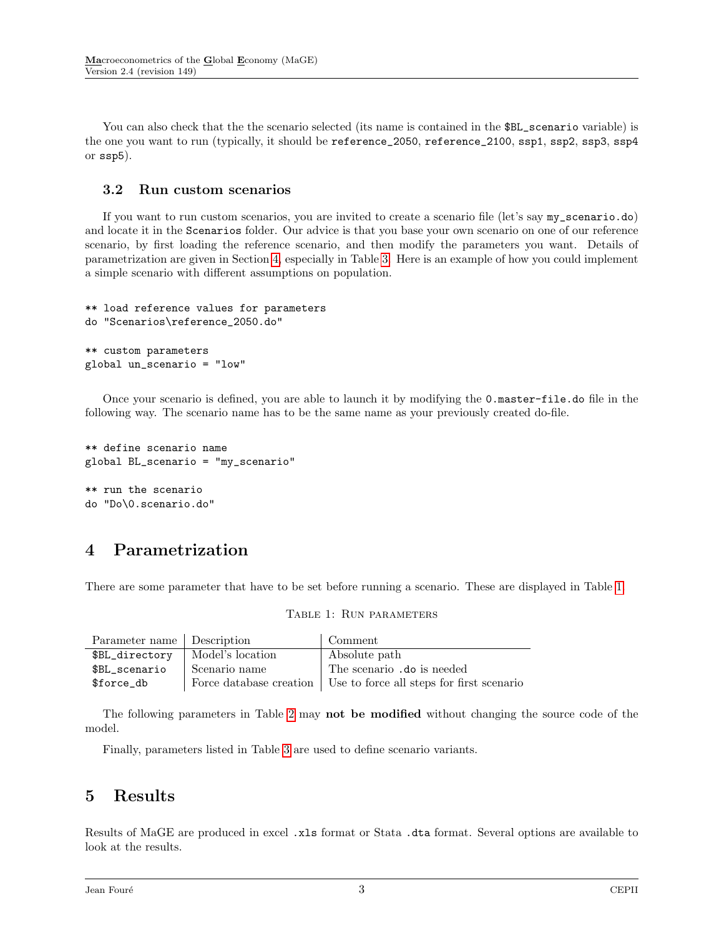You can also check that the the scenario selected (its name is contained in the \$BL\_scenario variable) is the one you want to run (typically, it should be reference\_2050, reference\_2100, ssp1, ssp2, ssp3, ssp4 or ssp5).

#### <span id="page-2-0"></span>3.2 Run custom scenarios

If you want to run custom scenarios, you are invited to create a scenario file (let's say my\_scenario.do) and locate it in the Scenarios folder. Our advice is that you base your own scenario on one of our reference scenario, by first loading the reference scenario, and then modify the parameters you want. Details of parametrization are given in Section [4,](#page-2-1) especially in Table [3.](#page-4-0) Here is an example of how you could implement a simple scenario with different assumptions on population.

```
** load reference values for parameters
do "Scenarios\reference_2050.do"
** custom parameters
global un_scenario = "low"
```
Once your scenario is defined, you are able to launch it by modifying the 0.master-file.do file in the following way. The scenario name has to be the same name as your previously created do-file.

```
** define scenario name
global BL_scenario = "my_scenario"
** run the scenario
do "Do\0.scenario.do"
```
## <span id="page-2-1"></span>4 Parametrization

<span id="page-2-3"></span>There are some parameter that have to be set before running a scenario. These are displayed in Table [1.](#page-2-3)

| Parameter name Description |                  | Comment                                                             |
|----------------------------|------------------|---------------------------------------------------------------------|
| \$BL_directory             | Model's location | Absolute path                                                       |
| \$BL scenario              | Scenario name    | The scenario .do is needed                                          |
| \$force_db                 |                  | Force database creation   Use to force all steps for first scenario |

#### Table 1: Run parameters

The following parameters in Table [2](#page-3-3) may not be modified without changing the source code of the model.

Finally, parameters listed in Table [3](#page-4-0) are used to define scenario variants.

## <span id="page-2-2"></span>5 Results

Results of MaGE are produced in excel .xls format or Stata .dta format. Several options are available to look at the results.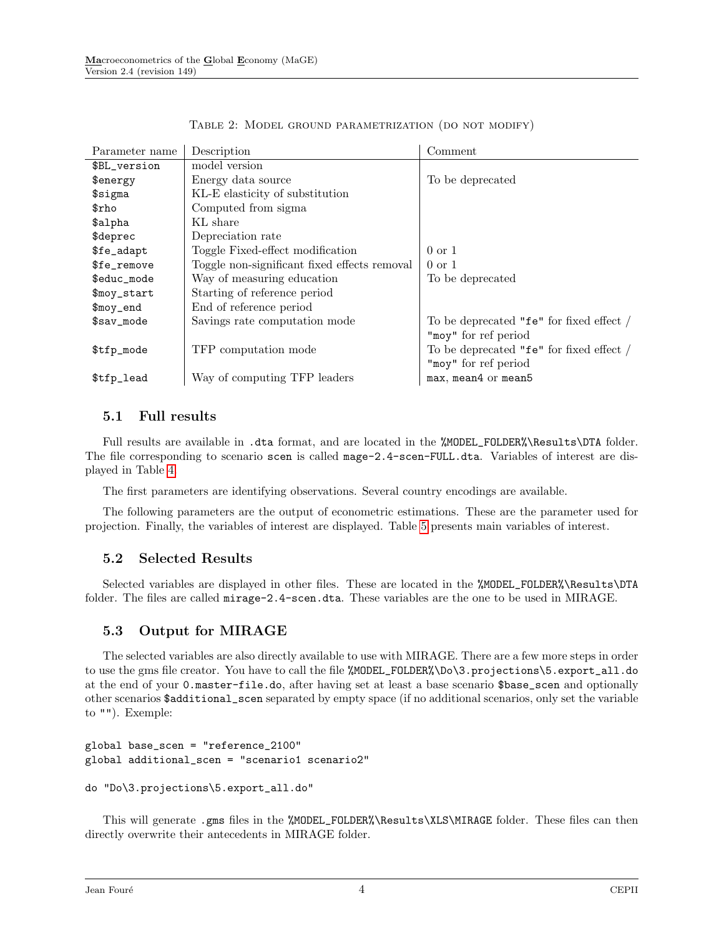<span id="page-3-3"></span>

| Parameter name         | Description                                  | Comment                                  |
|------------------------|----------------------------------------------|------------------------------------------|
| \$BL_version           | model version                                |                                          |
| \$energy               | Energy data source                           | To be deprecated                         |
| $$$ sigma              | KL-E elasticity of substitution              |                                          |
| $\text{fcho}$          | Computed from sigma                          |                                          |
| \$alpha                | KL share                                     |                                          |
| \$deprec               | Depreciation rate                            |                                          |
| \$fe_adapt             | Toggle Fixed-effect modification             | $0 \text{ or } 1$                        |
| \$fe_remove            | Toggle non-significant fixed effects removal | $0 \text{ or } 1$                        |
| \$educ_mode            | Way of measuring education                   | To be deprecated                         |
| \$moy_start            | Starting of reference period                 |                                          |
| $\mathfrak{g}$ moy_end | End of reference period                      |                                          |
| $$sav_model$           | Savings rate computation mode                | To be deprecated "fe" for fixed effect / |
|                        |                                              | "moy" for ref period                     |
| \$tfp_mode             | TFP computation mode                         | To be deprecated "fe" for fixed effect / |
|                        |                                              | "moy" for ref period                     |
| \$tfp_lead             | Way of computing TFP leaders                 | max, mean4 or mean5                      |

TABLE 2: MODEL GROUND PARAMETRIZATION (DO NOT MODIFY)

### <span id="page-3-0"></span>5.1 Full results

Full results are available in .dta format, and are located in the %MODEL\_FOLDER%\Results\DTA folder. The file corresponding to scenario scen is called mage-2.4-scen-FULL.dta. Variables of interest are displayed in Table [4.](#page-5-0)

The first parameters are identifying observations. Several country encodings are available.

The following parameters are the output of econometric estimations. These are the parameter used for projection. Finally, the variables of interest are displayed. Table [5](#page-5-1) presents main variables of interest.

### <span id="page-3-1"></span>5.2 Selected Results

Selected variables are displayed in other files. These are located in the %MODEL\_FOLDER%\Results\DTA folder. The files are called mirage-2.4-scen.dta. These variables are the one to be used in MIRAGE.

### <span id="page-3-2"></span>5.3 Output for MIRAGE

The selected variables are also directly available to use with MIRAGE. There are a few more steps in order to use the gms file creator. You have to call the file %MODEL\_FOLDER%\Do\3.projections\5.export\_all.do at the end of your 0.master-file.do, after having set at least a base scenario \$base\_scen and optionally other scenarios \$additional\_scen separated by empty space (if no additional scenarios, only set the variable to ""). Exemple:

```
global base_scen = "reference_2100"
global additional_scen = "scenario1 scenario2"
```

```
do "Do\3.projections\5.export_all.do"
```
This will generate .gms files in the %MODEL\_FOLDER%\Results\XLS\MIRAGE folder. These files can then directly overwrite their antecedents in MIRAGE folder.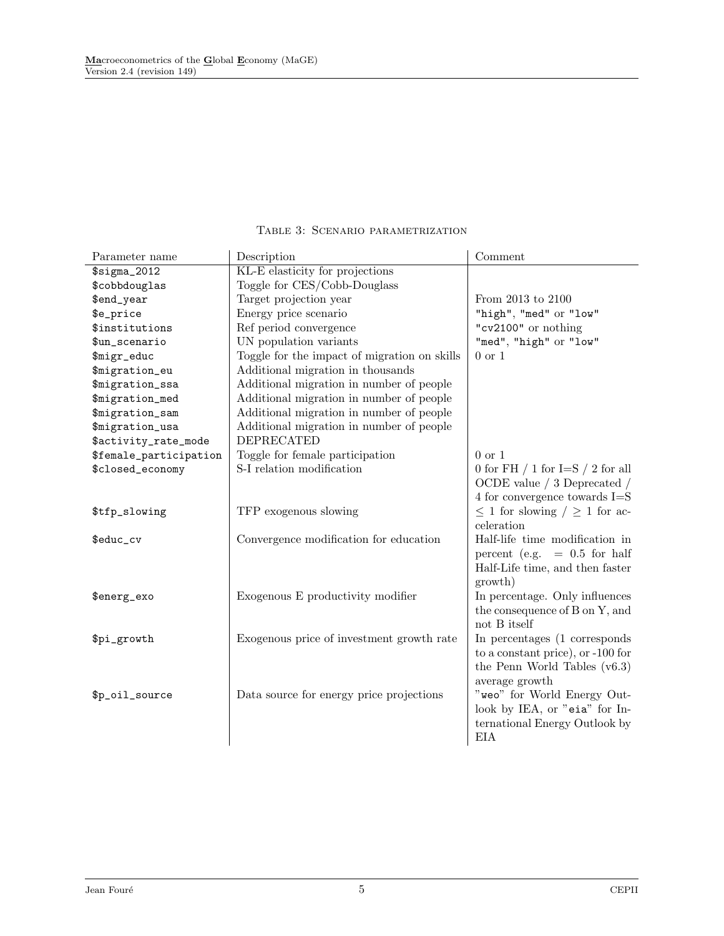<span id="page-4-0"></span>

| Parameter name         | Description                                  | Comment                                 |
|------------------------|----------------------------------------------|-----------------------------------------|
| $$signa_2012$          | KL-E elasticity for projections              |                                         |
| \$cobbdouglas          | Toggle for CES/Cobb-Douglass                 |                                         |
| \$end_year             | Target projection year                       | From 2013 to 2100                       |
| \$e_price              | Energy price scenario                        | "high", "med" or "low"                  |
| \$institutions         | Ref period convergence                       | "cv2100" or nothing                     |
| \$un_scenario          | UN population variants                       | "med", "high" or "low"                  |
| \$migr_educ            | Toggle for the impact of migration on skills | $0 \text{ or } 1$                       |
| \$migration_eu         | Additional migration in thousands            |                                         |
| \$migration_ssa        | Additional migration in number of people     |                                         |
| \$migration_med        | Additional migration in number of people     |                                         |
| \$migration_sam        | Additional migration in number of people     |                                         |
| \$migration_usa        | Additional migration in number of people     |                                         |
| \$activity_rate_mode   | <b>DEPRECATED</b>                            |                                         |
| \$female_participation | Toggle for female participation              | $0 \text{ or } 1$                       |
| \$closed_economy       | S-I relation modification                    | 0 for FH $/$ 1 for I=S $/$ 2 for all    |
|                        |                                              | OCDE value $/$ 3 Deprecated $/$         |
|                        |                                              | 4 for convergence towards $I = S$       |
| \$tfp_slowing          | TFP exogenous slowing                        | $\leq$ 1 for slowing $/ \geq$ 1 for ac- |
|                        |                                              | celeration                              |
| \$educ_cv              | Convergence modification for education       | Half-life time modification in          |
|                        |                                              | $= 0.5$ for half<br>percent (e.g.       |
|                        |                                              | Half-Life time, and then faster         |
|                        |                                              | growth)                                 |
| \$energ_exo            | Exogenous E productivity modifier            | In percentage. Only influences          |
|                        |                                              | the consequence of B on Y, and          |
|                        |                                              | not B itself                            |
| \$pi_growth            | Exogenous price of investment growth rate    | In percentages (1 corresponds           |
|                        |                                              | to a constant price), or -100 for       |
|                        |                                              | the Penn World Tables $(v6.3)$          |
|                        |                                              | average growth                          |
| \$p_oil_source         | Data source for energy price projections     | "weo" for World Energy Out-             |
|                        |                                              | look by IEA, or "eia" for In-           |
|                        |                                              | ternational Energy Outlook by           |
|                        |                                              | <b>EIA</b>                              |

### Table 3: Scenario parametrization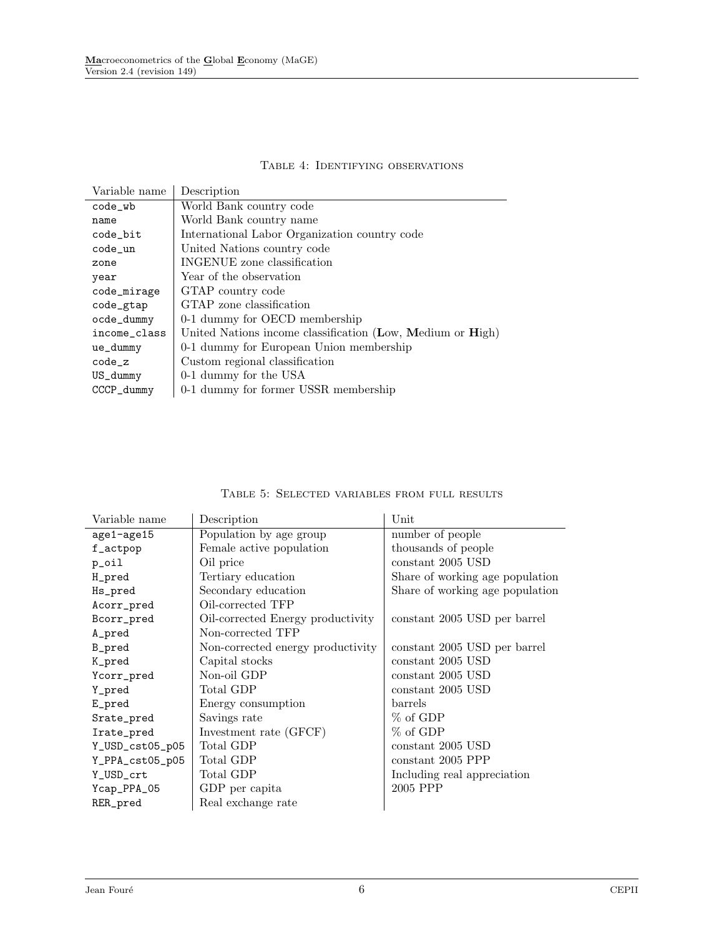#### Table 4: Identifying observations

<span id="page-5-0"></span>

| Variable name | Description                                                |
|---------------|------------------------------------------------------------|
| $code_w$      | World Bank country code                                    |
| name          | World Bank country name                                    |
| code_bit      | International Labor Organization country code              |
| code_un       | United Nations country code                                |
| zone          | INGENUE zone classification                                |
| year          | Year of the observation                                    |
| code_mirage   | GTAP country code                                          |
| code_gtap     | GTAP zone classification                                   |
| ocde_dummy    | 0-1 dummy for OECD membership                              |
| income class  | United Nations income classification (Low, Medium or High) |
| ue_dummy      | 0-1 dummy for European Union membership                    |
| $code_z$      | Custom regional classification                             |
| US_dummy      | 0-1 dummy for the USA                                      |
| CCCP_dummy    | 0-1 dummy for former USSR membership                       |

<span id="page-5-1"></span>

| Variable name   | Description                       | Unit                            |
|-----------------|-----------------------------------|---------------------------------|
| age1-age15      | Population by age group           | number of people                |
| f_actpop        | Female active population          | thousands of people             |
| p_oil           | Oil price                         | constant 2005 USD               |
| H_pred          | Tertiary education                | Share of working age population |
| Hs_pred         | Secondary education               | Share of working age population |
| Acorr_pred      | Oil-corrected TFP                 |                                 |
| Bcorr_pred      | Oil-corrected Energy productivity | constant 2005 USD per barrel    |
| A_pred          | Non-corrected TFP                 |                                 |
| B_pred          | Non-corrected energy productivity | constant 2005 USD per barrel    |
| K_pred          | Capital stocks                    | constant 2005 USD               |
| Ycorr_pred      | Non-oil GDP                       | constant 2005 USD               |
| Y_pred          | Total GDP                         | constant 2005 USD               |
| E_pred          | Energy consumption                | barrels                         |
| Srate_pred      | Savings rate                      | $%$ of GDP                      |
| Irate_pred      | Investment rate (GFCF)            | % of GDP                        |
| Y_USD_cst05_p05 | Total GDP                         | constant 2005 USD               |
| Y_PPA_cst05_p05 | Total GDP                         | constant 2005 PPP               |
| Y_USD_crt       | Total GDP                         | Including real appreciation     |
| Ycap_PPA_05     | GDP per capita                    | 2005 PPP                        |
| RER_pred        | Real exchange rate                |                                 |

#### Table 5: Selected variables from full results